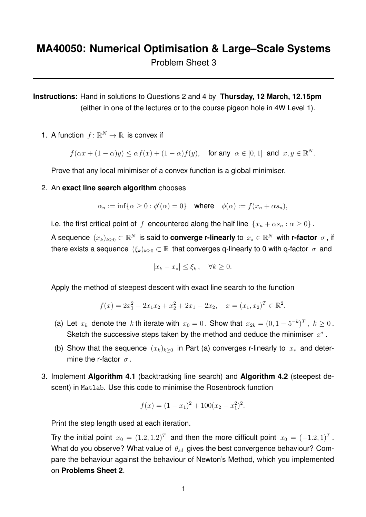**Instructions:** Hand in solutions to Questions 2 and 4 by **Thursday, 12 March, 12.15pm** (either in one of the lectures or to the course pigeon hole in 4W Level 1).

1. A function  $f: \mathbb{R}^N \to \mathbb{R}$  is convex if

 $f(\alpha x + (1 - \alpha)y) \leq \alpha f(x) + (1 - \alpha)f(y)$ , for any  $\alpha \in [0, 1]$  and  $x, y \in \mathbb{R}^N$ .

Prove that any local minimiser of a convex function is a global minimiser.

2. An **exact line search algorithm** chooses

 $\alpha_n := \inf\{\alpha \geq 0 : \phi'(\alpha) = 0\}$  where  $\phi(\alpha) := f(x_n + \alpha s_n),$ 

i.e. the first critical point of f encountered along the half line  $\{x_n + \alpha s_n : \alpha \geq 0\}$ .

A sequence  $(x_k)_{k\geq 0}\subset\mathbb{R}^N$  is said to **converge r-linearly** to  $x_*\in\mathbb{R}^N$  with **r-factor**  $\sigma$ , if there exists a sequence  $(\xi_k)_{k>0} \subset \mathbb{R}$  that converges q-linearly to 0 with q-factor  $\sigma$  and

$$
|x_k - x_*| \le \xi_k, \quad \forall k \ge 0.
$$

Apply the method of steepest descent with exact line search to the function

$$
f(x) = 2x_1^2 - 2x_1x_2 + x_2^2 + 2x_1 - 2x_2, \quad x = (x_1, x_2)^T \in \mathbb{R}^2.
$$

- (a) Let  $x_k$  denote the k th iterate with  $x_0 = 0$ . Show that  $x_{2k} = (0, 1 5^{-k})^T$ ,  $k \ge 0$ . Sketch the successive steps taken by the method and deduce the minimiser  $x^*$ .
- (b) Show that the sequence  $(x_k)_{k>0}$  in Part (a) converges r-linearly to  $x_*$  and determine the r-factor  $\sigma$ .
- 3. Implement **Algorithm 4.1** (backtracking line search) and **Algorithm 4.2** (steepest descent) in Matlab. Use this code to minimise the Rosenbrock function

$$
f(x) = (1 - x1)2 + 100(x2 - x12)2.
$$

Print the step length used at each iteration.

Try the initial point  $x_0 = (1.2, 1.2)^T$  and then the more difficult point  $x_0 = (-1.2, 1)^T$ . What do you observe? What value of  $\theta_{sd}$  gives the best convergence behaviour? Compare the behaviour against the behaviour of Newton's Method, which you implemented on **Problems Sheet 2**.